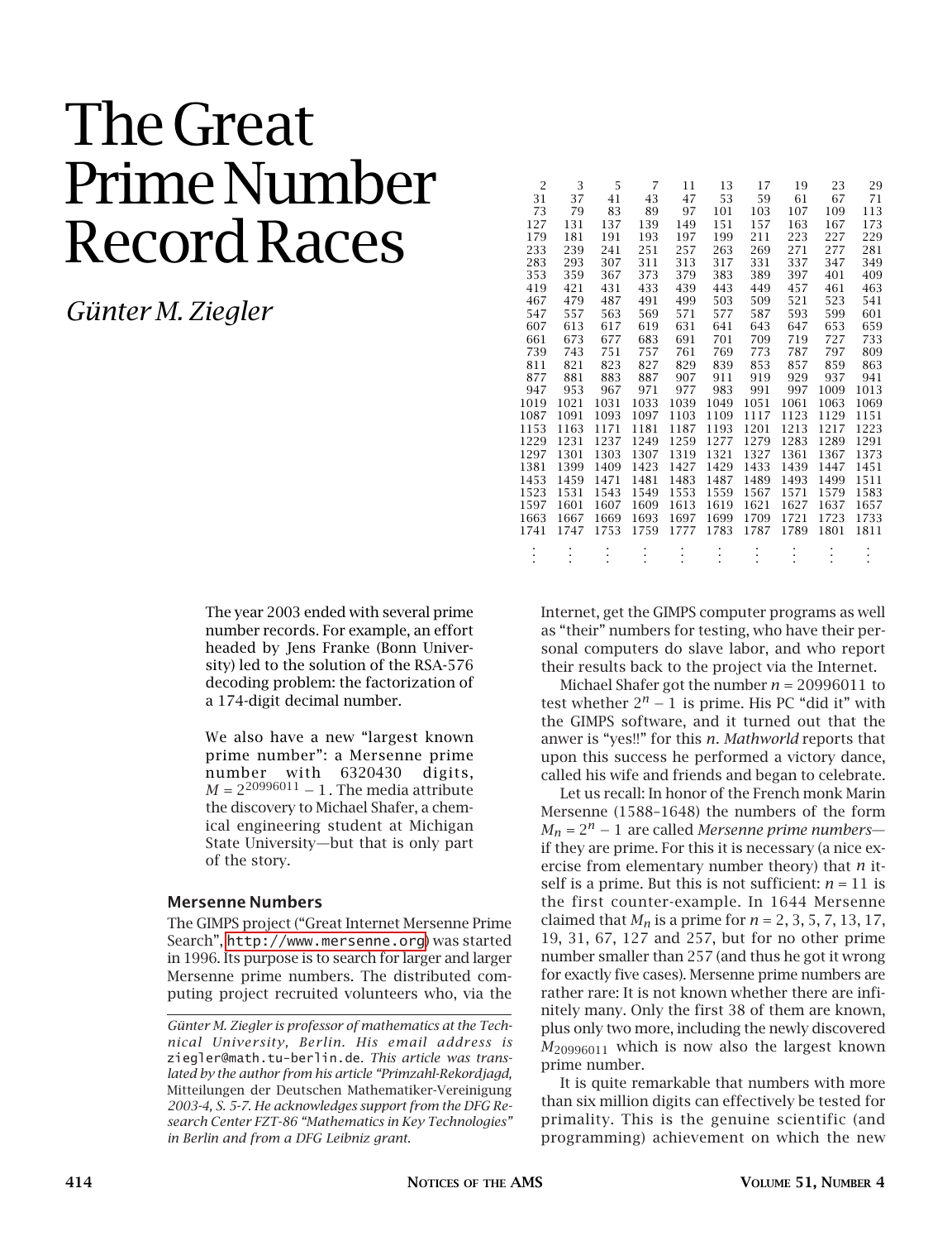# The Great Prime Number Record Races

*Günter M. Ziegler*

The year 2003 ended with several prime number records. For example, an effort headed by Jens Franke (Bonn University) led to the solution of the RSA-576 decoding problem: the factorization of a 174-digit decimal number.

We also have a new "largest known prime number": a Mersenne prime number with 6320430 digits,  $M = 2^{20996011} - 1$ . The media attribute the discovery to Michael Shafer, a chemical engineering student at Michigan State University—but that is only part of the story.

#### **Mersenne Numbers**

The GIMPS project ("Great Internet Mersenne Prime Search", <http://www.mersenne.org>) was started in 1996. Its purpose is to search for larger and larger Mersenne prime numbers. The distributed computing project recruited volunteers who, via the

| $\overline{2}$ | 3    | 5    | 7    | 11   | 13   | 17   | 19   | 23   | 29   |
|----------------|------|------|------|------|------|------|------|------|------|
| 31             | 37   | 41   | 43   | 47   | 53   | 59   | 61   | 67   | 71   |
| 73             | 79   | 83   | 89   | 97   | 101  | 103  | 107  | 109  | 113  |
| 127            | 131  | 137  | 139  | 149  | 151  | 157  | 163  | 167  | 173  |
| 179            | 181  | 191  | 193  | 197  | 199  | 211  | 223  | 227  | 229  |
| 233            | 239  | 241  | 251  | 257  | 263  | 269  | 271  | 277  | 281  |
| 283            | 293  | 307  | 311  | 313  | 317  | 331  | 337  | 347  | 349  |
| 353            | 359  | 367  | 373  | 379  | 383  | 389  | 397  | 401  | 409  |
| 419            | 421  | 431  | 433  | 439  | 443  | 449  | 457  | 461  | 463  |
| 467            | 479  | 487  | 491  | 499  | 503  | 509  | 521  | 523  | 541  |
| 547            | 557  | 563  | 569  | 571  | 577  | 587  | 593  | 599  | 601  |
| 607            | 613  | 617  | 619  | 631  | 641  | 643  | 647  | 653  | 659  |
| 661            | 673  | 677  | 683  | 691  | 701  | 709  | 719  | 727  | 733  |
| 739            | 743  | 751  | 757  | 761  | 769  | 773  | 787  | 797  | 809  |
| 811            | 821  | 823  | 827  | 829  | 839  | 853  | 857  | 859  | 863  |
| 877            | 881  | 883  | 887  | 907  | 911  | 919  | 929  | 937  | 941  |
| 947            | 953  | 967  | 971  | 977  | 983  | 991  | 997  | 1009 | 1013 |
| 1019           | 1021 | 1031 | 1033 | 1039 | 1049 | 1051 | 1061 | 1063 | 1069 |
| 1087           | 1091 | 1093 | 1097 | 1103 | 1109 | 1117 | 1123 | 1129 | 1151 |
| 1153           | 1163 | 1171 | 1181 | 1187 | 1193 | 1201 | 1213 | 1217 | 1223 |
| 1229           | 1231 | 1237 | 1249 | 1259 | 1277 | 1279 | 1283 | 1289 | 1291 |
| 1297           | 1301 | 1303 | 1307 | 1319 | 1321 | 1327 | 1361 | 1367 | 1373 |
| 1381           | 1399 | 1409 | 1423 | 1427 | 1429 | 1433 | 1439 | 1447 | 1451 |
| 1453           | 1459 | 1471 | 1481 | 1483 | 1487 | 1489 | 1493 | 1499 | 1511 |
| 1523           | 1531 | 1543 | 1549 | 1553 | 1559 | 1567 | 1571 | 1579 | 1583 |
| 1597           | 1601 | 1607 | 1609 | 1613 | 1619 | 1621 | 1627 | 1637 | 1657 |
| 1663           | 1667 | 1669 | 1693 | 1697 | 1699 | 1709 | 1721 | 1723 | 1733 |
| 1741           | 1747 | 1753 | 1759 | 1777 | 1783 | 1787 | 1789 | 1801 | 1811 |
|                |      |      |      |      |      |      |      |      |      |
|                |      |      |      |      |      |      |      |      |      |

Internet, get the GIMPS computer programs as well as "their" numbers for testing, who have their personal computers do slave labor, and who report their results back to the project via the Internet.

Michael Shafer got the number *n* = 20996011 to test whether  $2^n - 1$  is prime. His PC "did it" with the GIMPS software, and it turned out that the anwer is "yes!!" for this *n*. *Mathworld* reports that upon this success he performed a victory dance, called his wife and friends and began to celebrate.

Let us recall: In honor of the French monk Marin Mersenne (1588–1648) the numbers of the form *Mn* = 2*<sup>n</sup>* <sup>−</sup> <sup>1</sup> are called *Mersenne prime numbers* if they are prime. For this it is necessary (a nice exercise from elementary number theory) that *n* itself is a prime. But this is not sufficient:  $n = 11$  is the first counter-example. In 1644 Mersenne claimed that  $M_n$  is a prime for  $n = 2, 3, 5, 7, 13, 17$ , 19, 31, 67, 127 and 257, but for no other prime number smaller than 257 (and thus he got it wrong for exactly five cases). Mersenne prime numbers are rather rare: It is not known whether there are infinitely many. Only the first 38 of them are known, plus only two more, including the newly discovered *M*<sup>20996011</sup> which is now also the largest known prime number.

It is quite remarkable that numbers with more than six million digits can effectively be tested for primality. This is the genuine scientific (and programming) achievement on which the new

*Günter M. Ziegler is professor of mathematics at the Technical University, Berlin. His email address is* ziegler@math.tu-berlin.de*. This article was translated by the author from his article "Primzahl-Rekordjagd,* Mitteilungen der Deutschen Mathematiker-Vereinigung *2003-4, S. 5-7. He acknowledges support from the DFG Research Center FZT-86 "Mathematics in Key Technologies" in Berlin and from a DFG Leibniz grant.*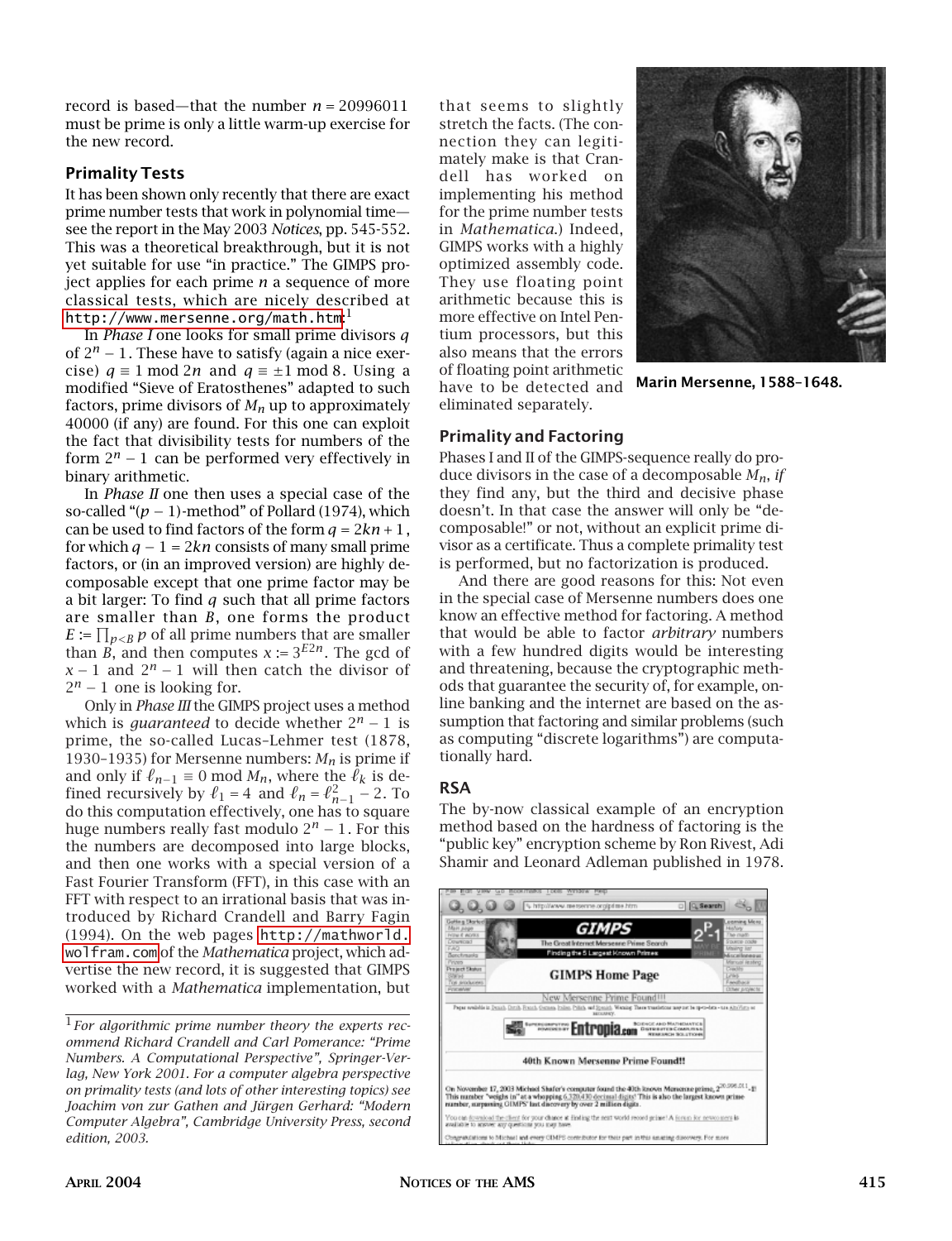record is based—that the number *n* = 20996011 must be prime is only a little warm-up exercise for the new record.

#### **Primality Tests**

It has been shown only recently that there are exact prime number tests that work in polynomial time see the report in the May 2003 *Notices*, pp. 545-552. This was a theoretical breakthrough, but it is not yet suitable for use "in practice." The GIMPS project applies for each prime *n* a sequence of more classical tests, which are nicely described at <code><http://www.mersenne.org/math.htm>: $^{\rm l}$ </code>

In *Phase I* one looks for small prime divisors *q* of 2*<sup>n</sup>* <sup>−</sup> 1. These have to satisfy (again a nice exercise)  $q \equiv 1 \mod 2n$  and  $q \equiv \pm 1 \mod 8$ . Using a modified "Sieve of Eratosthenes" adapted to such factors, prime divisors of *Mn* up to approximately 40000 (if any) are found. For this one can exploit the fact that divisibility tests for numbers of the form  $2^n - 1$  can be performed very effectively in binary arithmetic.

In *Phase II* one then uses a special case of the so-called " $(p - 1)$ -method" of Pollard (1974), which can be used to find factors of the form  $q = 2kn + 1$ , for which  $q - 1 = 2kn$  consists of many small prime factors, or (in an improved version) are highly decomposable except that one prime factor may be a bit larger: To find *q* such that all prime factors are smaller than *B*, one forms the product  $E \coloneqq \prod_{p < B} p$  of all prime numbers that are smaller than *B*, and then computes  $x = 3^{E2n}$ . The gcd of *x* − 1 and  $2^n$  − 1 will then catch the divisor of  $2^n - 1$  one is looking for.

Only in *Phase III* the GIMPS project uses a method which is *guaranteed* to decide whether  $2^n - 1$  is prime, the so-called Lucas–Lehmer test (1878, 1930–1935) for Mersenne numbers:  $M_n$  is prime if and only if  $\ell_{n-1} \equiv 0 \mod M_n$ , where the  $\ell_k$  is defined recursively by  $\ell_1 = 4$  and  $\ell_n = \ell_{n-1}^2 - 2$ . To do this computation effectively, one has to square huge numbers really fast modulo 2*<sup>n</sup>* <sup>−</sup> 1. For this the numbers are decomposed into large blocks, and then one works with a special version of a Fast Fourier Transform (FFT), in this case with an FFT with respect to an irrational basis that was introduced by Richard Crandell and Barry Fagin (1994). On the web pages [http://mathworld.](http://mathworld.wolfram.com) [wolfram.com](http://mathworld.wolfram.com) of the *Mathematica* project, which advertise the new record, it is suggested that GIMPS worked with a *Mathematica* implementation, but that seems to slightly stretch the facts. (The connection they can legitimately make is that Crandell has worked on implementing his method for the prime number tests in *Mathematica*.) Indeed, GIMPS works with a highly optimized assembly code. They use floating point arithmetic because this is more effective on Intel Pentium processors, but this also means that the errors of floating point arithmetic have to be detected and eliminated separately.



**Marin Mersenne, 1588–1648.**

#### **Primality and Factoring**

Phases I and II of the GIMPS-sequence really do produce divisors in the case of a decomposable *Mn*, *if* they find any, but the third and decisive phase doesn't. In that case the answer will only be "decomposable!" or not, without an explicit prime divisor as a certificate. Thus a complete primality test is performed, but no factorization is produced.

And there are good reasons for this: Not even in the special case of Mersenne numbers does one know an effective method for factoring. A method that would be able to factor *arbitrary* numbers with a few hundred digits would be interesting and threatening, because the cryptographic methods that guarantee the security of, for example, online banking and the internet are based on the assumption that factoring and similar problems (such as computing "discrete logarithms") are computationally hard.

## **RSA**

The by-now classical example of an encryption method based on the hardness of factoring is the "public key" encryption scheme by Ron Rivest, Adi Shamir and Leonard Adleman published in 1978.



<sup>1</sup>*For algorithmic prime number theory the experts recommend Richard Crandell and Carl Pomerance: "Prime Numbers. A Computational Perspective", Springer-Verlag, New York 2001. For a computer algebra perspective on primality tests (and lots of other interesting topics) see Joachim von zur Gathen and Jürgen Gerhard: "Modern Computer Algebra", Cambridge University Press, second edition, 2003.*